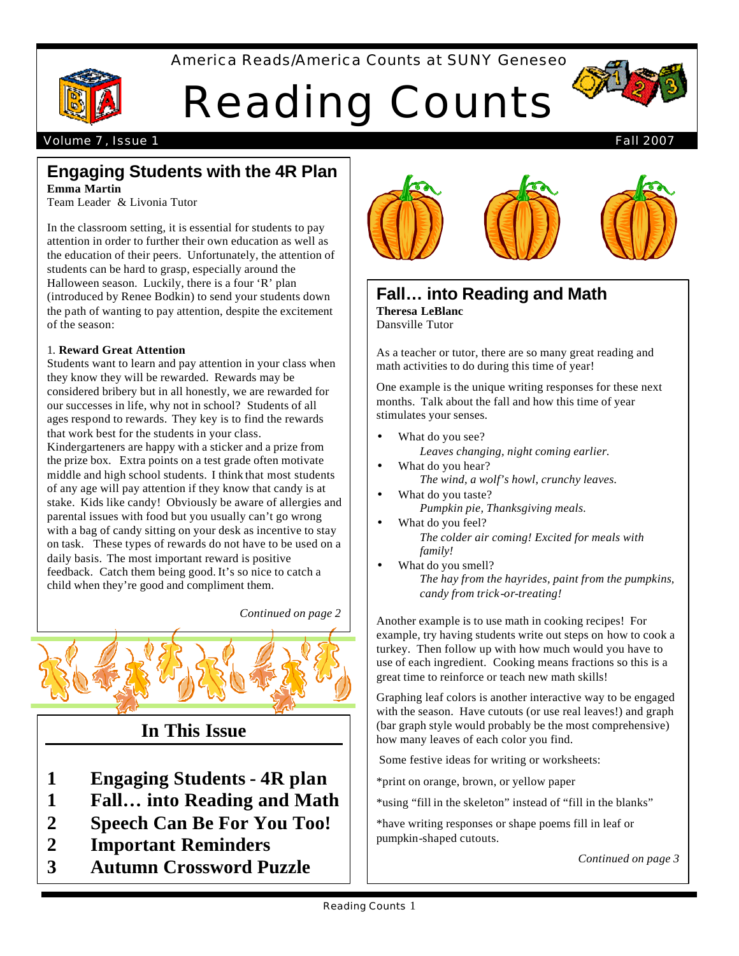America Reads/America Counts at SUNY Geneseo



# Reading Counts



### Volume 7, Issue 1 Fall 2007

### **Engaging Students with the 4R Plan Emma Martin**

Team Leader & Livonia Tutor

In the classroom setting, it is essential for students to pay attention in order to further their own education as well as the education of their peers. Unfortunately, the attention of students can be hard to grasp, especially around the Halloween season. Luckily, there is a four 'R' plan (introduced by Renee Bodkin) to send your students down the path of wanting to pay attention, despite the excitement of the season:

### 1. **Reward Great Attention**

Students want to learn and pay attention in your class when they know they will be rewarded. Rewards may be considered bribery but in all honestly, we are rewarded for our successes in life, why not in school? Students of all ages respond to rewards. They key is to find the rewards that work best for the students in your class.

Kindergarteners are happy with a sticker and a prize from the prize box. Extra points on a test grade often motivate middle and high school students. I think that most students of any age will pay attention if they know that candy is at stake. Kids like candy! Obviously be aware of allergies and parental issues with food but you usually can't go wrong with a bag of candy sitting on your desk as incentive to stay on task. These types of rewards do not have to be used on a daily basis. The most important reward is positive feedback. Catch them being good. It's so nice to catch a child when they're good and compliment them.

*Continued on page 2*



# **In This Issue**

- **1 Engaging Students - 4R plan**
- **1 Fall… into Reading and Math**
- **2 Speech Can Be For You Too!**
- **2 Important Reminders**
- **3 Autumn Crossword Puzzle**



### **Fall… into Reading and Math Theresa LeBlanc**

Dansville Tutor

As a teacher or tutor, there are so many great reading and math activities to do during this time of year!

stimulates your senses. One example is the unique writing responses for these next months. Talk about the fall and how this time of year

- What do you see?
- *Leaves changing, night coming earlier.*  What do you hear?
	- *The wind, a wolf's howl, crunchy leaves.*
- What do you taste? *Pumpkin pie, Thanksgiving meals.*
- What do you feel? *The colder air coming! Excited for meals with family!*
- What do you smell? *The hay from the hayrides, paint from the pumpkins, candy from trick-or-treating!*

Another example is to use math in cooking recipes! For example, try having students write out steps on how to cook a turkey. Then follow up with how much would you have to use of each ingredient. Cooking means fractions so this is a great time to reinforce or teach new math skills!

Graphing leaf colors is another interactive way to be engaged with the season. Have cutouts (or use real leaves!) and graph (bar graph style would probably be the most comprehensive) how many leaves of each color you find.

Some festive ideas for writing or worksheets:

\*print on orange, brown, or yellow paper

\*using "fill in the skeleton" instead of "fill in the blanks"

\*have writing responses or shape poems fill in leaf or pumpkin-shaped cutouts.

*Continued on page 3*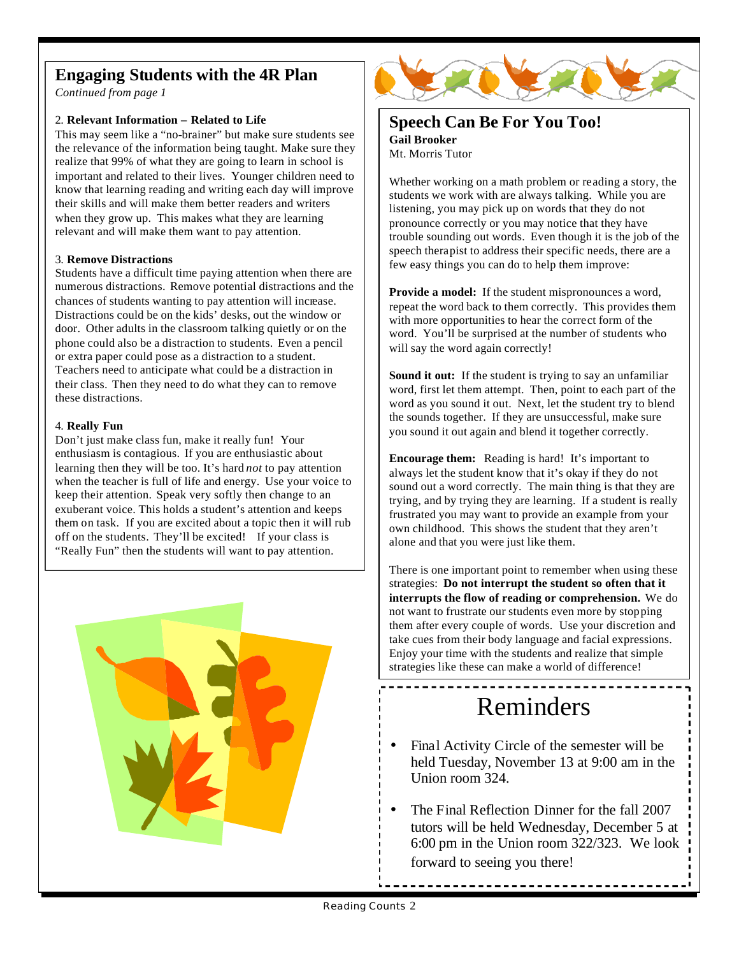# **Engaging Students with the 4R Plan**

*Continued from page 1*

### 2. **Relevant Information – Related to Life**

This may seem like a "no-brainer" but make sure students see the relevance of the information being taught. Make sure they realize that 99% of what they are going to learn in school is important and related to their lives. Younger children need to know that learning reading and writing each day will improve their skills and will make them better readers and writers when they grow up. This makes what they are learning relevant and will make them want to pay attention.

### 3. **Remove Distractions**

Students have a difficult time paying attention when there are numerous distractions. Remove potential distractions and the chances of students wanting to pay attention will increase. Distractions could be on the kids' desks, out the window or door. Other adults in the classroom talking quietly or on the phone could also be a distraction to students. Even a pencil or extra paper could pose as a distraction to a student. Teachers need to anticipate what could be a distraction in their class. Then they need to do what they can to remove these distractions.

### 4. **Really Fun**

Don't just make class fun, make it really fun! Your enthusiasm is contagious. If you are enthusiastic about learning then they will be too. It's hard *not* to pay attention when the teacher is full of life and energy. Use your voice to keep their attention. Speak very softly then change to an exuberant voice. This holds a student's attention and keeps them on task. If you are excited about a topic then it will rub off on the students. They'll be excited! If your class is "Really Fun" then the students will want to pay attention.





# **Speech Can Be For You Too!**

**Gail Brooker** Mt. Morris Tutor

Whether working on a math problem or reading a story, the students we work with are always talking. While you are listening, you may pick up on words that they do not pronounce correctly or you may notice that they have trouble sounding out words. Even though it is the job of the speech therapist to address their specific needs, there are a few easy things you can do to help them improve:

**Provide a model:** If the student mispronounces a word, repeat the word back to them correctly. This provides them with more opportunities to hear the correct form of the word. You'll be surprised at the number of students who will say the word again correctly!

**Sound it out:** If the student is trying to say an unfamiliar word, first let them attempt. Then, point to each part of the word as you sound it out. Next, let the student try to blend the sounds together. If they are unsuccessful, make sure you sound it out again and blend it together correctly.

**Encourage them:** Reading is hard! It's important to always let the student know that it's okay if they do not sound out a word correctly. The main thing is that they are trying, and by trying they are learning. If a student is really frustrated you may want to provide an example from your own childhood. This shows the student that they aren't alone and that you were just like them.

There is one important point to remember when using these strategies: **Do not interrupt the student so often that it interrupts the flow of reading or comprehension.** We do not want to frustrate our students even more by stopping them after every couple of words. Use your discretion and take cues from their body language and facial expressions. Enjoy your time with the students and realize that simple strategies like these can make a world of difference!

# Reminders

- Final Activity Circle of the semester will be held Tuesday, November 13 at 9:00 am in the Union room 324.
- The Final Reflection Dinner for the fall 2007 tutors will be held Wednesday, December 5 at 6:00 pm in the Union room 322/323. We look forward to seeing you there!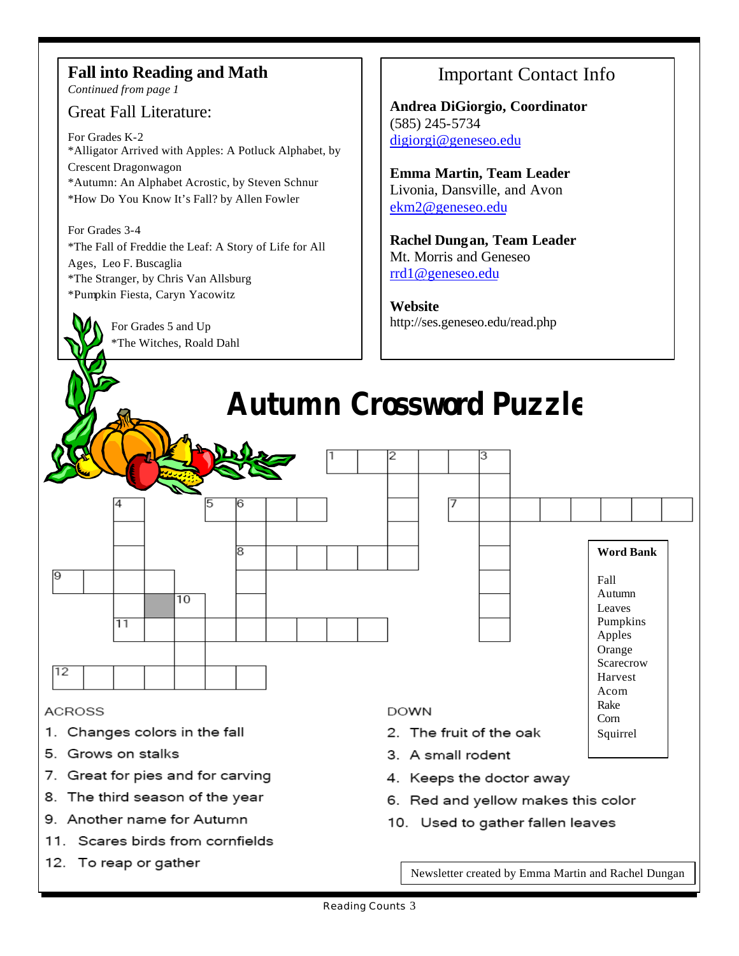# **Fall into Reading and Math**

*Continued from page 1*

## Great Fall Literature:

For Grades K-2 \*Alligator Arrived with Apples: A Potluck Alphabet, by Crescent Dragonwagon \*Autumn: An Alphabet Acrostic, by Steven Schnur \*How Do You Know It's Fall? by Allen Fowler

For Grades 3-4 \*The Fall of Freddie the Leaf: A Story of Life for All Ages, Leo F. Buscaglia \*The Stranger, by Chris Van Allsburg \*Pumpkin Fiesta, Caryn Yacowitz

> For Grades 5 and Up \*The Witches, Roald Dahl

8. The third season of the year

11. Scares birds from cornfields

9. Another name for Autumn

12. To reap or gather

9

12

# Important Contact Info

**Andrea DiGiorgio, Coordinator** (585) 245-5734 digiorgi@geneseo.edu

**Emma Martin, Team Leader** Livonia, Dansville, and Avon ekm2@geneseo.edu

**Rachel Dungan, Team Leader** Mt. Morris and Geneseo rrd1@geneseo.edu

**Website** http://ses.geneseo.edu/read.php



- 4. Keeps the doctor away
- 6. Red and yellow makes this color
- 10. Used to gather fallen leaves

Newsletter created by Emma Martin and Rachel Dungan